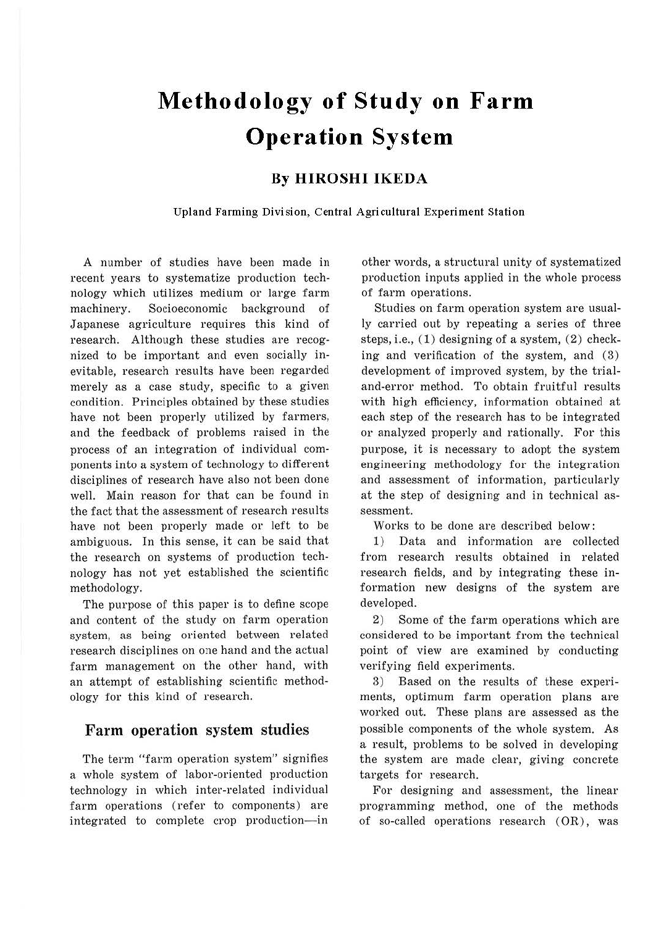# **Methodology of Study on Farm Operation System**

## **By HIROSHI IKEDA**

**Upland Farming Division, Central Agricultural Experiment Station** 

A number of studies have been made in recent years to systematize production technology which utilizes medium or large farm machinery. Socioeconomic background of Japanese agriculture requires this kind of research. Although these studies are recognized to be important and even socially inevitable, research results have been regarded merely as a case study, specific to a given condition. Principles obtained by these studies have not been properly utilized by farmers, and the feedback of problems raised in the process of an integration of individual components into a system of technology to different disciplines of research have also not been done well. Main reason for that can be found in the fact that the assessment of research results have not been properly made or left to be ambiguous. In this sense, it can be said that the research on systems of production technology has not yet established the scientific methodology.

The purpose of this paper is to define scope and content of the study on farm operation system, as being oriented between related research disciplines on one hand and the actual farm management on the other hand, with an attempt of establishing scientific methodology for this kind of research.

### **Farm operation system studies**

The term "farm operation system" signifies a whole system of labor-oriented production technology in which inter-related individual farm operations (refer to components) are integrated to complete crop production-in other words, a structural unity of systematized production inputs applied in the whole process of farm operations.

Studies on farm operation system are usually carried out by repeating a series of three steps, i.e.,  $(1)$  designing of a system,  $(2)$  checking and verification of the system, and (3) development of improved system, by the trialand-error method. To obtain fruitful results with high efficiency, information obtained at each step of the research has to be integrated or analyzed properly and rationally. For this purpose, it is necessary to adopt the system engineering methodology for the integration and assessment of information, particularly at the step of designing and in technical assessment.

Works to be done are described below:

1) Data and information are collected from research results obtained in related research fields, and by integrating these information new designs of the system are developed.

2) Some of the farm operations which are considered to be important from the technical point of view are examined by conducting verifying field experiments.

3) Based on the results of these experiments, optimum farm operation plans are worked out. These plans are assessed as the possible components of the whole system. As a result, problems to be solved in developing the system are made clear, giving concrete targets for research.

For designing and assessment, the linear programming method, one of the methods of so-called operations research  $(OR)$ , was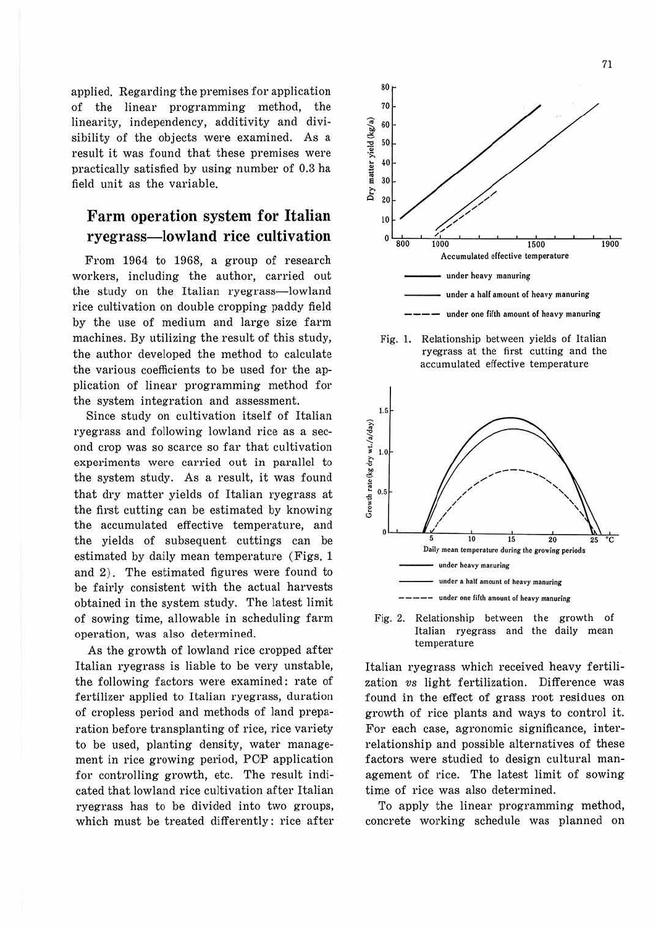applied. Regarding the premises for application of the linear programming method, the linearity, independency, additivity and divisibility of the objects were examined. As a result it was found that these premises were practically satisfied by using number of 0.3 ha field unit as the variable.

# **Farm operation system for Italian ryegrass-lowland rice cultivation**

From 1964 to 1968, a group of research workers, including the author, carried out the study on the Italian ryegrass-lowland rice cultivation on double cropping paddy field by the use of medium and large size farm machines. By utilizing the result of this study, the author developed the method to calculate the various coefficients to be used for the application of linear programming method for the system integration and assessment.

Since study on cultivation itself of Italian ryegrass and following lowland rice as a second crop was so scarce so far that cultivation experiments were carried out in para!lel to the system study. As a result, it was found that dry matter yields of Italian ryegrass at the first cutting can be estimated by knowing the accumulated effective temperature, and the yields of subsequent cuttings can be estimated by daily mean temperature (Figs. 1 and 2). The estimated figures were found to be fairly consistent with the actual harvests obtained in the system study. The latest limit of sowing time, allowable in scheduling farm operation, was also determined.

As the growth of lowland rice cropped after Italian ryegrass is liable to be very unstable, the following factors were examined: rate of fertilizer applied to Italian ryegrass, duration of cropless period and methods of land preparation before transplanting of rice, rice variety to be used, planting density, water management in rice growing period, PCP application for controlling growth, etc. The result indicated that lowland rice cultivation after Italian ryegrass has to be divided into two groups, which must be treated differently: rice after



Fig. 1. Relationship between yields of Italian ryegrass at the first cutting and the accumulated effective temperature





Italian ryegrass which received heavy fertilization *vs* light fertilization. Difference was found in the effect of grass root residues on growth of rice plants and ways to control it. For each case, agronomic significance, interrelationship and possible alternatives of these factors were studied to design cultural management of rice. The latest limit of sowing time of rice was also determined.

To apply the linear programming method, concrete working schedule was planned on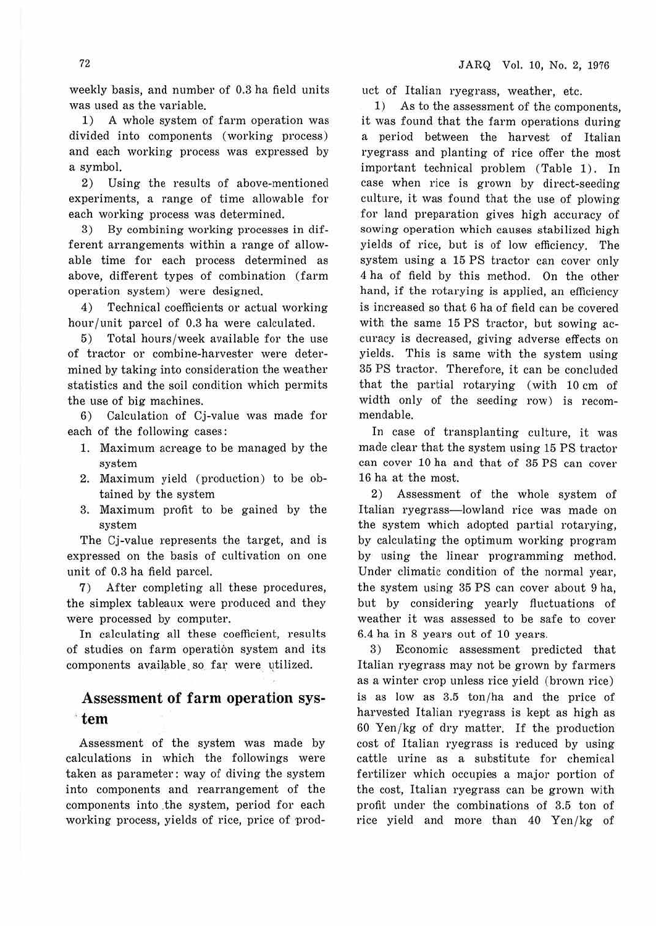weekly basis, and number of 0.3 ha field units was used as the variable.

**1)** A whole system of farm operation was divided into components (working process) and each working process was expressed by a symbol.

2) Using the results of above-mentioned experiments, a range of time allowable for each working process was determined.

3) By combining working processes in different arrangements within a range of allowable time for each process determined as above, different types of combination (farm operation system) were designed.

4) Technical coefficients or actual working hour/unit parcel of 0.3 ha were calculated.

5) Total hours/week available for the use of tractor or combine-harvester were determined by taking into consideration the weather statistics and the soil condition which permits the use of big machines.

6) Calculation of Cj-value was made for each of the following cases:

- 1. Maximum acreage to be managed by the system
- 2. Maximum yield (production) to be obtained by the system
- 3. Maximum profit to be gained by the system

The Cj-value represents the target, and is expressed on the basis of cultivation on one unit of 0.3 ha field parcel.

7 ) After completing all these procedures, the simplex tableaux were produced and they were processed by computer.

In calculating all these coefficient, results of studies on farm operation system and its components available so far were utilized.

## **Assessment of farm operation** sys- · **tem**

Assessment of the system was made by calculations in which the followings were taken as parameter: way of diving the system into components and rearrangement of the components into the system, period for each working process, yields of rice, price of product of Italian ryegrass, weather, etc.

1) As to the assessment of the components, it was found that the farm operations during a period between the harvest of Italian ryegrass and planting of rice offer the most important technical problem (Table 1). In case when rice is grown by direct-seeding culture, it was found that the use of plowing for land preparation gives high accuracy of sowing operation which causes stabilized high yields of rice, but is of low efficiency. The system using a 15 PS tractor can cover only 4 ha of field by this method. On the other hand, if the rotarying is applied, an efficiency is increased so that 6 ha of field can be covered with the same 15 PS tractor, but sowing accuracy is decreased, giving adverse effects on yields. This is same with the system using 35 PS tractor. Therefore, it can be concluded that the partial rotarying (with 10 cm of width only of the seeding row) is recommendable.

In case of transplanting culture, it was made clear that the system using 15 PS tractor can cover 10 ha and that of 35 PS can cover 16 ha at the most.

2) Assessment of the whole system of Italian ryegrass-lowland rice was made on the system which adopted partial rotarying, by calculating the optimum working program by using the linear programming method. Under climatic condition of the normal year, the system using 35 PS can cover about 9 ha, but by considering yearly fluctuations of weather it was assessed to be safe to cover 6.4 ha in 8 years out of 10 years.

3) Economic assessment predicted that Italian ryegrass may not be grown by farmers as a winter crop unless rice yield (brown rice) is as low as 3.5 ton/ha and the price of harvested Italian ryegrass is kept as high as 60 Yen/ kg of dry matter. If the production cost of Italian ryegrass is reduced by using cattle urine as a substitute for chemical fertilizer which occupies a major portion of the cost, Italian ryegrass can be grown with profit under the combinations of 3.5 ton of rice yield and more than 40 Yen/kg of